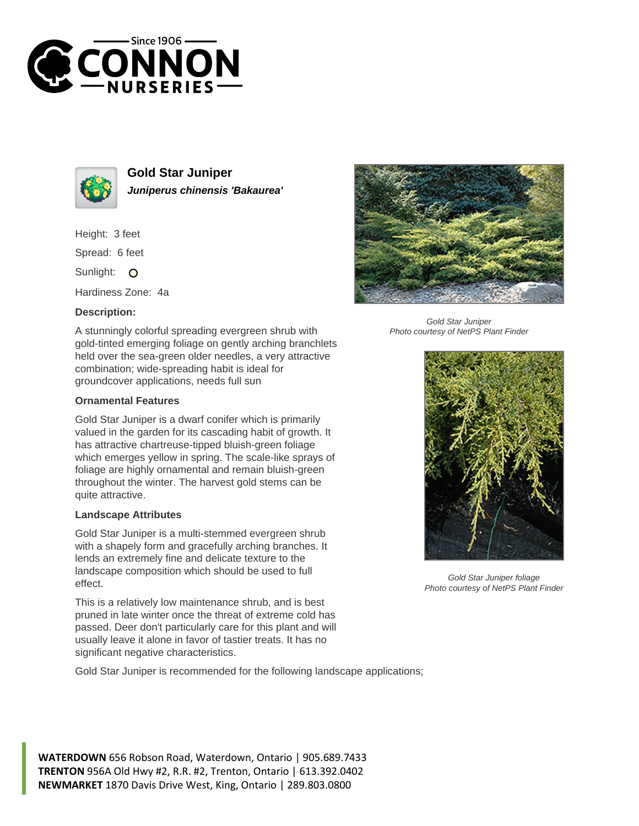



**Gold Star Juniper Juniperus chinensis 'Bakaurea'**

Height: 3 feet

Spread: 6 feet

Sunlight: O

Hardiness Zone: 4a

## **Description:**

A stunningly colorful spreading evergreen shrub with gold-tinted emerging foliage on gently arching branchlets held over the sea-green older needles, a very attractive combination; wide-spreading habit is ideal for groundcover applications, needs full sun

## **Ornamental Features**

Gold Star Juniper is a dwarf conifer which is primarily valued in the garden for its cascading habit of growth. It has attractive chartreuse-tipped bluish-green foliage which emerges yellow in spring. The scale-like sprays of foliage are highly ornamental and remain bluish-green throughout the winter. The harvest gold stems can be quite attractive.

## **Landscape Attributes**

Gold Star Juniper is a multi-stemmed evergreen shrub with a shapely form and gracefully arching branches. It lends an extremely fine and delicate texture to the landscape composition which should be used to full effect.

This is a relatively low maintenance shrub, and is best pruned in late winter once the threat of extreme cold has passed. Deer don't particularly care for this plant and will usually leave it alone in favor of tastier treats. It has no significant negative characteristics.

Gold Star Juniper is recommended for the following landscape applications;



Gold Star Juniper Photo courtesy of NetPS Plant Finder



Gold Star Juniper foliage Photo courtesy of NetPS Plant Finder

**WATERDOWN** 656 Robson Road, Waterdown, Ontario | 905.689.7433 **TRENTON** 956A Old Hwy #2, R.R. #2, Trenton, Ontario | 613.392.0402 **NEWMARKET** 1870 Davis Drive West, King, Ontario | 289.803.0800